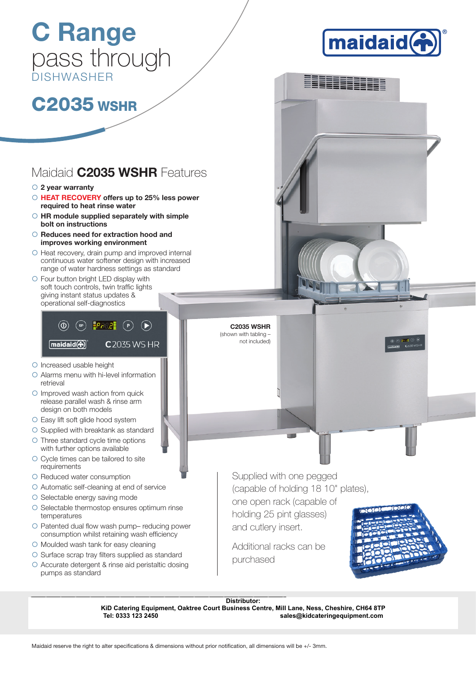# C Range pass through DISHWASHER



EEEEEEEE

# **C2035 WSHR**

## Maidaid **C2035 WSHR** Features

- $\circ$  2 year warranty
- HEAT RECOVERY offers up to 25% less power required to heat rinse water
- ${\small \odot}$  HR module supplied separately with simple bolt on instructions
- ${O}$  Reduces need for extraction hood and improves working environment
- { Heat recovery, drain pump and improved internal continuous water softener design with increased range of water hardness settings as standard
- { Four button bright LED display with soft touch controls, twin traffic lights giving instant status updates & operational self-diagnostics

### $\circledcirc$  (sp)  $\mathsf{PHEQ}$  (p)  $\circledcirc$ maidaid(<br /> **maidaid C** 2035 WS HR

- O Increased usable height
- { Alarms menu with hi-level information retrieval
- { Improved wash action from quick release parallel wash & rinse arm design on both models
- { Easy lift soft glide hood system
- O Supplied with breaktank as standard { Three standard cycle time options with further options available
- O Cycle times can be tailored to site requirements
- **O** Reduced water consumption
- { Automatic self-cleaning at end of service
- O Selectable energy saving mode
- O Selectable thermostop ensures optimum rinse temperatures
- $\circ$  Patented dual flow wash pump-reducing power consumption whilst retaining wash efficiency
- O Moulded wash tank for easy cleaning
- $\circ$  Surface scrap tray filters supplied as standard
- { Accurate detergent & rinse aid peristaltic dosing pumps as standard

Supplied with one pegged (capable of holding 18 10" plates), one open rack (capable of

holding 25 pint glasses) and cutlery insert.

Additional racks can be purchased



Distributor:<br> **KiD Catering Equipment, Oaktree Court Business Centre, Mill Lane, Ness, (<br>
Tel: 0333 123 2450<br>
Maidaid reserve the right to alter specifications & dimensions without prior notification, all dimensions will b KiD Catering Equipment, Oaktree Court Business Centre, Mill Lane, Ness, Cheshire, CH64 8TP Tel: 0333 123 2450 sales@kidcateringequipment.com**

C2035 WSHR (shown with tabling not included)